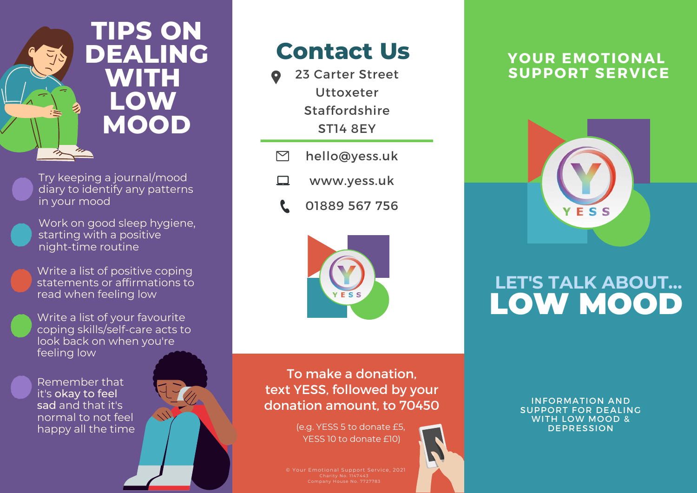

Try keeping a journal/mood diary to identify any patterns in your mood

Work on good sleep hygiene, starting with a positive night-time routine

Write a list of positive coping statements or affirmations to read when feeling low

Write a list of your favourite coping skills/self-care acts to look back on when you're feeling low

Remember that it's okay to feel sad and that it's normal to not feel happy all the time



# **Contact Us**

- 23 Carter Street Uttoxeter Staffordshire ST14 8EY
- $\triangleright$ hello@yess.uk
- $\Box$ www.yess.uk
	- 01889 567 756



To make a donation, text YESS, followed by your donation amount, to 70450

> (e.g. YESS 5 to donate £5, YESS 10 to donate £10)

© Your Emotional Support Service, 2021

### **YOUR EMOTIONAL SUPPORT SERVICE**



# **LET'S TALK ABOUT...** LOW MOOD

INFORMATION AND SUPPORT FOR DEALING WITH LOW MOOD & DEPRESSION